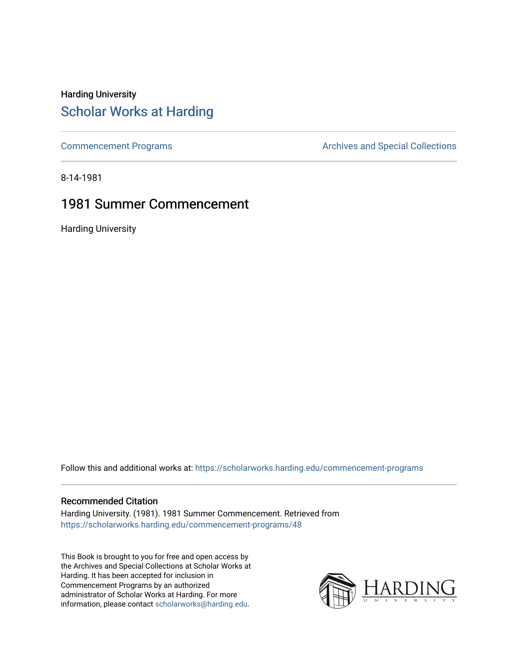## Harding University [Scholar Works at Harding](https://scholarworks.harding.edu/)

[Commencement Programs](https://scholarworks.harding.edu/commencement-programs) **Archives and Special Collections** Archives and Special Collections

8-14-1981

### 1981 Summer Commencement

Harding University

Follow this and additional works at: [https://scholarworks.harding.edu/commencement-programs](https://scholarworks.harding.edu/commencement-programs?utm_source=scholarworks.harding.edu%2Fcommencement-programs%2F48&utm_medium=PDF&utm_campaign=PDFCoverPages)

#### Recommended Citation

Harding University. (1981). 1981 Summer Commencement. Retrieved from [https://scholarworks.harding.edu/commencement-programs/48](https://scholarworks.harding.edu/commencement-programs/48?utm_source=scholarworks.harding.edu%2Fcommencement-programs%2F48&utm_medium=PDF&utm_campaign=PDFCoverPages) 

This Book is brought to you for free and open access by the Archives and Special Collections at Scholar Works at Harding. It has been accepted for inclusion in Commencement Programs by an authorized administrator of Scholar Works at Harding. For more information, please contact [scholarworks@harding.edu.](mailto:scholarworks@harding.edu)

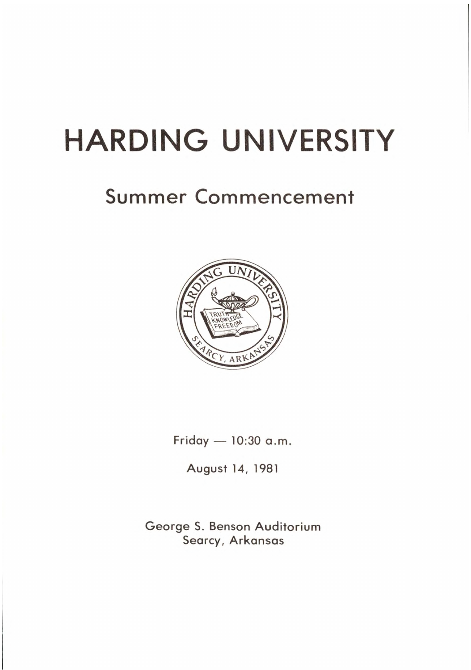# **HARDING UNIVERSITY**

# Summer Commencement



Friday  $-10:30$  a.m.

August 14, 1981

George S. Benson Auditorium Searcy, Arkansas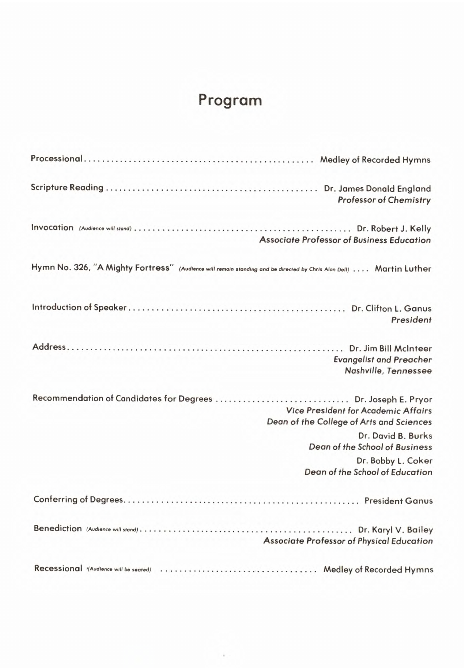# **Program**

| <b>Professor of Chemistry</b>                                                                                                                           |
|---------------------------------------------------------------------------------------------------------------------------------------------------------|
| <b>Associate Professor of Business Education</b>                                                                                                        |
| Hymn No. 326, "A Mighty Fortress" (Audience will remain standing and be directed by Chris Alan Dell)  Martin Luther                                     |
| President                                                                                                                                               |
| <b>Evangelist and Preacher</b><br>Nashville, Tennessee                                                                                                  |
| Recommendation of Candidates for Degrees  Dr. Joseph E. Pryor<br><b>Vice President for Academic Affairs</b><br>Dean of the College of Arts and Sciences |
| Dr. David B. Burks<br><b>Dean of the School of Business</b>                                                                                             |
| Dr. Bobby L. Coker<br>Dean of the School of Education                                                                                                   |
|                                                                                                                                                         |
| <b>Associate Professor of Physical Education</b>                                                                                                        |
| Recessional (Audience will be seated)  Medley of Recorded Hymns                                                                                         |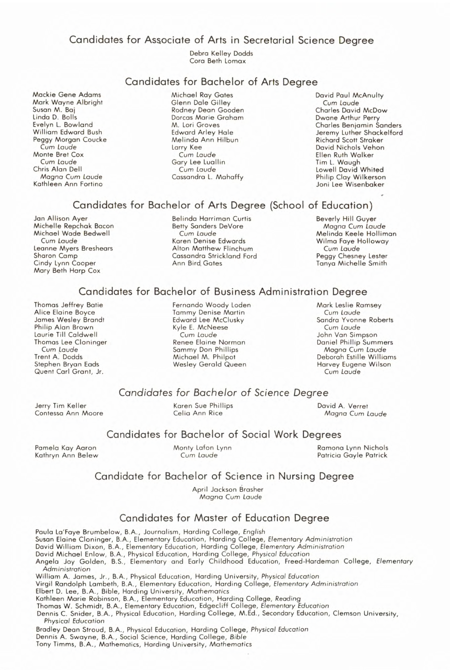Candidates for Associate of Arts in Secretarial Science Degree

Debra Kelley Dodds Cora Beth Lomax

#### Candidates for Bachelor of Arts Degree

Mackie Gene Adams **Mark** Wayne Albright Susan M. Baj Linda D. Bolls Evelyn L. Bowland William Edward Bush Peggy Morgan Coucke Cum *Laude*  Monte Bret Cox Cum Laude Chris Alan Dell Magna Cum *Laude*  Kathleen Ann Fortino

Michael Ray Gates Glenn Dale Gilley Rodney Dean Gooden Dorcas Marie Graham M. Lori Groves Edward Arley Hale Melinda Ann Hilbun Larry Kee Cum Laude Gary Lee Luollin Cum Laude Cassandra L. Mahaffy

David Paul McAnulty Cum *Laude*  Charles David McDow Dwane Arthur Perry Charles Benjamin Sanders Jeremy Luther Shackelford Richard Scott Straker David Nichols Vehon Ellen Ruth Walker Tim L. Waugh Lowell David Whited Philip Clay Wilkerson Joni Lee Wisenbaker

#### Candidates for Bachelor of Arts Degree (School of Education)

Jan Allison Ayer Michelle Repchak Bacon Michael Wade Bedwell Cum *Laude*  Leanne Myers Breshears Sharon Camp Cindy Lynn Cooper Mary Beth Harp Cox

Belinda Harriman Curtis Betty Sanders DeVore Cum *Laude*  Koren Denise Edwards Alton Matthew Flinchum Cassandra Strickland Ford Ann Bird Gates

Beverly Hill Guyer Magna Cum Laude Melinda Keele Holliman Wilma Faye Holloway Cum *Laude*  Peggy Chesney Lester Tanya Michelle Smith

#### Candidates for Bachelor of Business Administration Degree

Thomas Jeffrey Batie Alice Elaine Boyce Jomes Wesley Brandt Philip Alan Brown Laurie Till Caldwell Thomas Lee Cloninger Cum Laude Trent A. Dodds Stephen Bryan Eads Quent Carl Grant, Jr.

Fernando Woody Loden Tammy Denise Martin Edward Lee McClusky Kyle E. McNeese Cum Laude Renee Elaine Norman Sammy Don Phillips Michael M. Philpot Wesley Gerald Queen

Mark Leslie Ramsey Cum Laude Sandra Yvonne Roberts Cum *Laude*  John Van Simpson Daniel Phillip Summers Magna Cum *Laude*  Deborah Estille Williams Harvey Eugene Wilson Cum Laude

#### *Candidates* for *Bachelor of Science* Degree

Jerry Tim Keller Contessa Ann Moore Karen Sue Phillips Celia Ann Rice

David A. Verret Magno Cum *Laude* 

#### Candidates for Bachelor of Social Work Degrees

Pamela Kay Aaron Kathryn Ann Belew Monty Lafon Lynn Cum Laude

#### Ramona Lynn Nichols Patricia Gayle Patrick

#### Candidate for Bachelor of Science in Nursing Degree

April Jackson Brasher Magna Cum Laude

#### Candidates for Master of Education Degree

Paula La'Faye Brumbelow, **B.A.,** Journalism, Harding College, *English* 

Susan Elaine Cloninger, B.A., Elementary Education, Harding College, Elementary Administration

David William Dixon, B.A., Elementary Education, Hording College, *Elementary Administration* 

David Michael Enlow, B.A., Physical Education, Harding College, *Physical Education*  Angela Joy Golden, B.S., Elementary and Early Childhood Education, Freed-Hardeman College, Elementary

*Administration* 

William A. James, Jr., B.A., Physical Education, Harding University, *Physical Education* 

Virgil Randolph Lambeth, B.A., Elementary Education, Harding College, *Elementary Administration* 

Elbert D. Lee, **B.A.,** Bible, Harding University, Mathematics

Kathleen Marie Robinson, B.A., Elementary Education, Harding College, *Reading* 

Thomas W . Schmidt, B.A., Elementary Education, Edgecliff College, *Elementary Education* 

Dennis C. Snider, B.A., Physical Education, Harding College, M.Ed., Secondary Education, Clemson University, *Physical Education* 

Bradley Dean Stroud, B.A., Physical Education, Harding College, *Physical Education*  Dennis A. Swayne, B.A., Social Science, Harding College, *Bible*  Tony Timms, B.A., Mathematics, Harding University, Mathematics